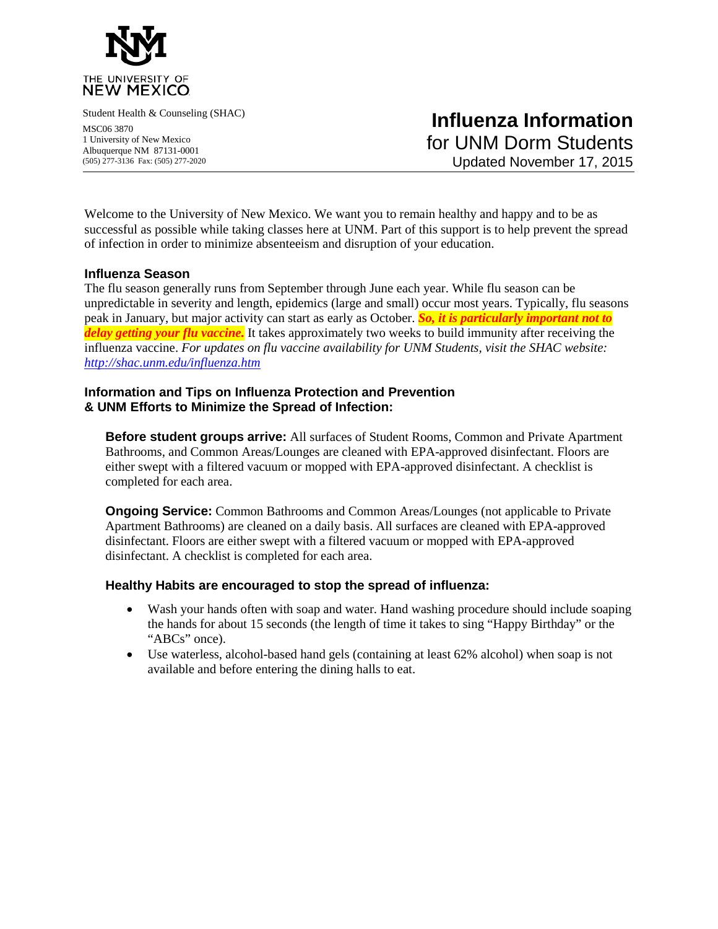

Student Health & Counseling (SHAC)

MSC06 3870 1 University of New Mexico Albuquerque NM 87131-0001 (505) 277-3136 Fax: (505) 277-2020

Welcome to the University of New Mexico. We want you to remain healthy and happy and to be as successful as possible while taking classes here at UNM. Part of this support is to help prevent the spread of infection in order to minimize absenteeism and disruption of your education.

### **Influenza Season**

The flu season generally runs from September through June each year. While flu season can be unpredictable in severity and length, epidemics (large and small) occur most years. Typically, flu seasons peak in January, but major activity can start as early as October. *So, it is particularly important not to delay getting your flu vaccine.* It takes approximately two weeks to build immunity after receiving the influenza vaccine. *For updates on flu vaccine availability for UNM Students, visit the SHAC website: <http://shac.unm.edu/influenza.htm>*

### **Information and Tips on Influenza Protection and Prevention & UNM Efforts to Minimize the Spread of Infection:**

**Before student groups arrive:** All surfaces of Student Rooms, Common and Private Apartment Bathrooms, and Common Areas/Lounges are cleaned with EPA-approved disinfectant. Floors are either swept with a filtered vacuum or mopped with EPA-approved disinfectant. A checklist is completed for each area.

**Ongoing Service:** Common Bathrooms and Common Areas/Lounges (not applicable to Private Apartment Bathrooms) are cleaned on a daily basis. All surfaces are cleaned with EPA-approved disinfectant. Floors are either swept with a filtered vacuum or mopped with EPA-approved disinfectant. A checklist is completed for each area.

#### **Healthy Habits are encouraged to stop the spread of influenza:**

- Wash your hands often with soap and water. Hand washing procedure should include soaping the hands for about 15 seconds (the length of time it takes to sing "Happy Birthday" or the "ABCs" once).
- Use waterless, alcohol-based hand gels (containing at least 62% alcohol) when soap is not available and before entering the dining halls to eat.